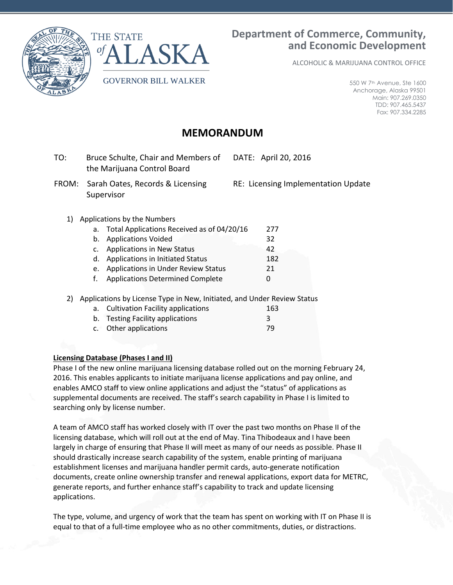



ALCOHOLIC & MARIJUANA CONTROL OFFICE

550 W 7th Avenue, Ste 1600 Anchorage, Alaska 99501 Main: 907.269.0350 TDD: 907.465.5437 Fax: 907.334.2285

# **MEMORANDUM**

- TO: Bruce Schulte, Chair and Members of the Marijuana Control Board DATE: April 20, 2016
- FROM: Sarah Oates, Records & Licensing Supervisor

RE: Licensing Implementation Update

# 1) Applications by the Numbers

| a. Total Applications Received as of 04/20/16 | 277 |
|-----------------------------------------------|-----|
| b. Applications Voided                        | 32  |
| c. Applications in New Status                 | 42  |
| d. Applications in Initiated Status           | 182 |
| e. Applications in Under Review Status        | 21  |
| f. Applications Determined Complete           | O   |

2) Applications by License Type in New, Initiated, and Under Review Status

| a. Cultivation Facility applications | 163 |
|--------------------------------------|-----|
| b. Testing Facility applications     |     |
| c. Other applications                | -79 |

# **Licensing Database (Phases I and II)**

Phase I of the new online marijuana licensing database rolled out on the morning February 24, 2016. This enables applicants to initiate marijuana license applications and pay online, and enables AMCO staff to view online applications and adjust the "status" of applications as supplemental documents are received. The staff's search capability in Phase I is limited to searching only by license number.

A team of AMCO staff has worked closely with IT over the past two months on Phase II of the licensing database, which will roll out at the end of May. Tina Thibodeaux and I have been largely in charge of ensuring that Phase II will meet as many of our needs as possible. Phase II should drastically increase search capability of the system, enable printing of marijuana establishment licenses and marijuana handler permit cards, auto-generate notification documents, create online ownership transfer and renewal applications, export data for METRC, generate reports, and further enhance staff's capability to track and update licensing applications.

The type, volume, and urgency of work that the team has spent on working with IT on Phase II is equal to that of a full-time employee who as no other commitments, duties, or distractions.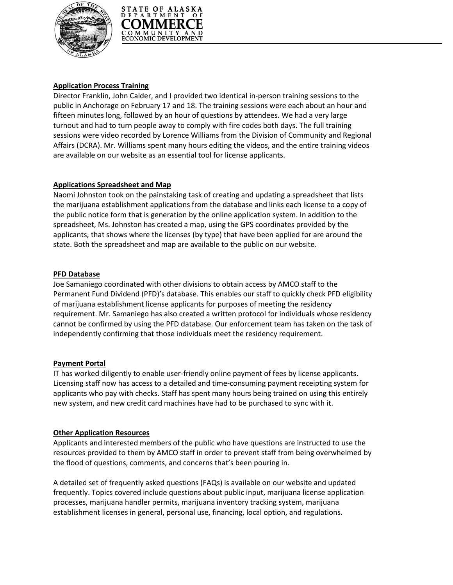



## **Application Process Training**

Director Franklin, John Calder, and I provided two identical in-person training sessions to the public in Anchorage on February 17 and 18. The training sessions were each about an hour and fifteen minutes long, followed by an hour of questions by attendees. We had a very large turnout and had to turn people away to comply with fire codes both days. The full training sessions were video recorded by Lorence Williams from the Division of Community and Regional Affairs (DCRA). Mr. Williams spent many hours editing the videos, and the entire training videos are available on our website as an essential tool for license applicants.

## **Applications Spreadsheet and Map**

Naomi Johnston took on the painstaking task of creating and updating a spreadsheet that lists the marijuana establishment applications from the database and links each license to a copy of the public notice form that is generation by the online application system. In addition to the spreadsheet, Ms. Johnston has created a map, using the GPS coordinates provided by the applicants, that shows where the licenses (by type) that have been applied for are around the state. Both the spreadsheet and map are available to the public on our website.

## **PFD Database**

Joe Samaniego coordinated with other divisions to obtain access by AMCO staff to the Permanent Fund Dividend (PFD)'s database. This enables our staff to quickly check PFD eligibility of marijuana establishment license applicants for purposes of meeting the residency requirement. Mr. Samaniego has also created a written protocol for individuals whose residency cannot be confirmed by using the PFD database. Our enforcement team has taken on the task of independently confirming that those individuals meet the residency requirement.

# **Payment Portal**

IT has worked diligently to enable user-friendly online payment of fees by license applicants. Licensing staff now has access to a detailed and time-consuming payment receipting system for applicants who pay with checks. Staff has spent many hours being trained on using this entirely new system, and new credit card machines have had to be purchased to sync with it.

## **Other Application Resources**

Applicants and interested members of the public who have questions are instructed to use the resources provided to them by AMCO staff in order to prevent staff from being overwhelmed by the flood of questions, comments, and concerns that's been pouring in.

A detailed set of frequently asked questions (FAQs) is available on our website and updated frequently. Topics covered include questions about public input, marijuana license application processes, marijuana handler permits, marijuana inventory tracking system, marijuana establishment licenses in general, personal use, financing, local option, and regulations.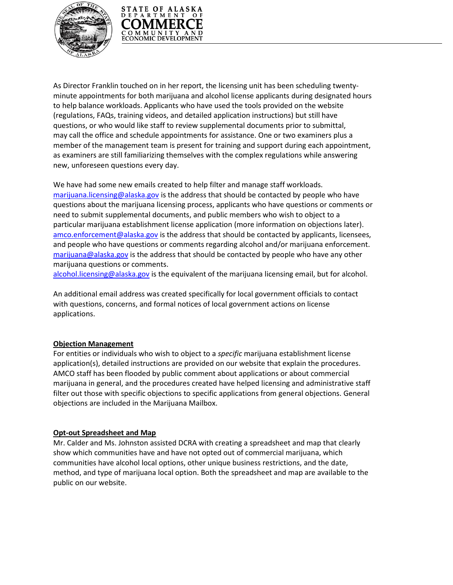



As Director Franklin touched on in her report, the licensing unit has been scheduling twentyminute appointments for both marijuana and alcohol license applicants during designated hours to help balance workloads. Applicants who have used the tools provided on the website (regulations, FAQs, training videos, and detailed application instructions) but still have questions, or who would like staff to review supplemental documents prior to submittal, may call the office and schedule appointments for assistance. One or two examiners plus a member of the management team is present for training and support during each appointment, as examiners are still familiarizing themselves with the complex regulations while answering new, unforeseen questions every day.

We have had some new emails created to help filter and manage staff workloads. [marijuana.licensing@alaska.gov](mailto:marijuana.licensing@alaska.gov) is the address that should be contacted by people who have questions about the marijuana licensing process, applicants who have questions or comments or need to submit supplemental documents, and public members who wish to object to a particular marijuana establishment license application (more information on objections later). [amco.enforcement@alaska.gov](mailto:amco.enforcement@alaska.gov) is the address that should be contacted by applicants, licensees, and people who have questions or comments regarding alcohol and/or marijuana enforcement. [marijuana@alaska.gov](mailto:marijuana@alaska.gov) is the address that should be contacted by people who have any other marijuana questions or comments.

[alcohol.licensing@alaska.gov](mailto:alcohol.licensing@alaska.gov) is the equivalent of the marijuana licensing email, but for alcohol.

An additional email address was created specifically for local government officials to contact with questions, concerns, and formal notices of local government actions on license applications.

## **Objection Management**

For entities or individuals who wish to object to a *specific* marijuana establishment license application(s), detailed instructions are provided on our website that explain the procedures. AMCO staff has been flooded by public comment about applications or about commercial marijuana in general, and the procedures created have helped licensing and administrative staff filter out those with specific objections to specific applications from general objections. General objections are included in the Marijuana Mailbox.

## **Opt-out Spreadsheet and Map**

Mr. Calder and Ms. Johnston assisted DCRA with creating a spreadsheet and map that clearly show which communities have and have not opted out of commercial marijuana, which communities have alcohol local options, other unique business restrictions, and the date, method, and type of marijuana local option. Both the spreadsheet and map are available to the public on our website.